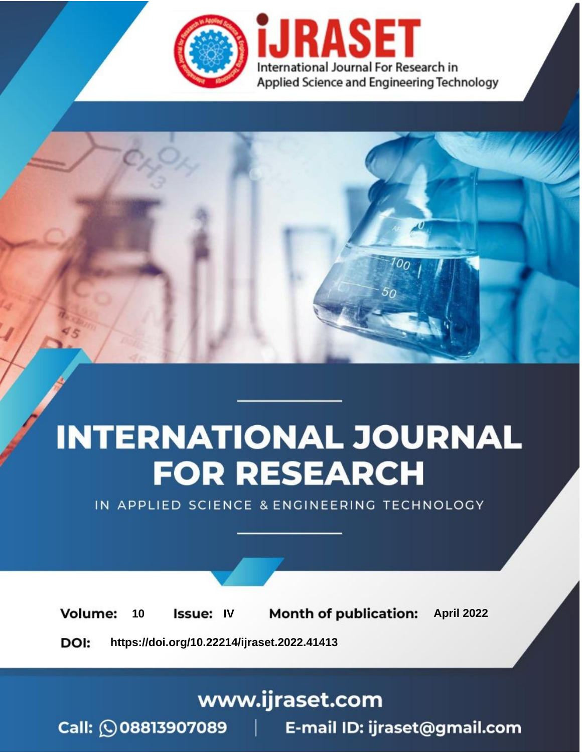

# **INTERNATIONAL JOURNAL FOR RESEARCH**

IN APPLIED SCIENCE & ENGINEERING TECHNOLOGY

Volume: 10 **Issue: IV Month of publication:** April 2022

**https://doi.org/10.22214/ijraset.2022.41413**DOI:

www.ijraset.com

Call: 008813907089 | E-mail ID: ijraset@gmail.com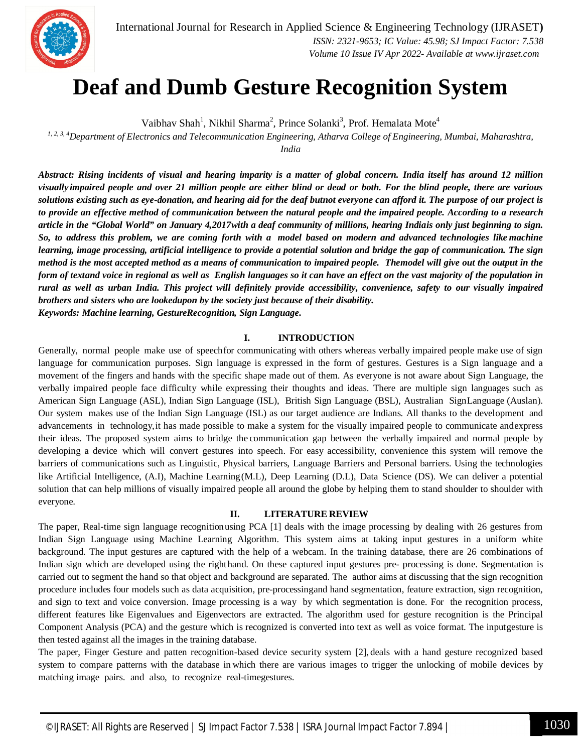

International Journal for Research in Applied Science & Engineering Technology (IJRASET**)**  *ISSN: 2321-9653; IC Value: 45.98; SJ Impact Factor: 7.538*

 *Volume 10 Issue IV Apr 2022- Available at www.ijraset.com*

### **Deaf and Dumb Gesture Recognition System**

Vaibhav Shah<sup>1</sup>, Nikhil Sharma<sup>2</sup>, Prince Solanki<sup>3</sup>, Prof. Hemalata Mote<sup>4</sup>

*1, 2, 3, 4Department of Electronics and Telecommunication Engineering, Atharva College of Engineering, Mumbai, Maharashtra,* 

*India* 

*Abstract: Rising incidents of visual and hearing imparity is a matter of global concern. India itself has around 12 million visually impaired people and over 21 million people are either blind or dead or both. For the blind people, there are various solutions existing such as eye-donation, and hearing aid for the deaf butnot everyone can afford it. The purpose of our project is* to provide an effective method of communication between the natural people and the impaired people. According to a research *article in the "Global World" on January 4,2017with a deaf community of millions, hearing Indiais only just beginning to sign. So, to address this problem, we are coming forth with a model based on modern and advanced technologies like machine learning, image processing, artificial intelligence to provide a potential solution and bridge the gap of communication. The sign method is the most accepted method as a means of communication to impaired people. Themodel will give out the output in the form of textand voice in regional as well as English languages so it can have an effect on the vast majority of the population in rural as well as urban India. This project will definitely provide accessibility, convenience, safety to our visually impaired brothers and sisters who are lookedupon by the society just because of their disability. Keywords: Machine learning, GestureRecognition, Sign Language.*

#### **I. INTRODUCTION**

Generally, normal people make use of speechfor communicating with others whereas verbally impaired people make use of sign language for communication purposes. Sign language is expressed in the form of gestures. Gestures is a Sign language and a movement of the fingers and hands with the specific shape made out of them. As everyone is not aware about Sign Language, the verbally impaired people face difficulty while expressing their thoughts and ideas. There are multiple sign languages such as American Sign Language (ASL), Indian Sign Language (ISL), British Sign Language (BSL), Australian SignLanguage (Auslan). Our system makes use of the Indian Sign Language (ISL) as our target audience are Indians. All thanks to the development and advancements in technology,it has made possible to make a system for the visually impaired people to communicate andexpress their ideas. The proposed system aims to bridge the communication gap between the verbally impaired and normal people by developing a device which will convert gestures into speech. For easy accessibility, convenience this system will remove the barriers of communications such as Linguistic, Physical barriers, Language Barriers and Personal barriers. Using the technologies like Artificial Intelligence, (A.I), Machine Learning(M.L), Deep Learning (D.L), Data Science (DS). We can deliver a potential solution that can help millions of visually impaired people all around the globe by helping them to stand shoulder to shoulder with everyone.

#### **II. LITERATURE REVIEW**

The paper, Real-time sign language recognitionusing PCA [1] deals with the image processing by dealing with 26 gestures from Indian Sign Language using Machine Learning Algorithm. This system aims at taking input gestures in a uniform white background. The input gestures are captured with the help of a webcam. In the training database, there are 26 combinations of Indian sign which are developed using the righthand. On these captured input gestures pre- processing is done. Segmentation is carried out to segment the hand so that object and background are separated. The author aims at discussing that the sign recognition procedure includes four models such as data acquisition, pre-processingand hand segmentation, feature extraction, sign recognition, and sign to text and voice conversion. Image processing is a way by which segmentation is done. For the recognition process, different features like Eigenvalues and Eigenvectors are extracted. The algorithm used for gesture recognition is the Principal Component Analysis (PCA) and the gesture which is recognized is converted into text as well as voice format. The inputgesture is then tested against all the images in the training database.

The paper, Finger Gesture and patten recognition-based device security system [2], deals with a hand gesture recognized based system to compare patterns with the database in which there are various images to trigger the unlocking of mobile devices by matching image pairs. and also, to recognize real-timegestures.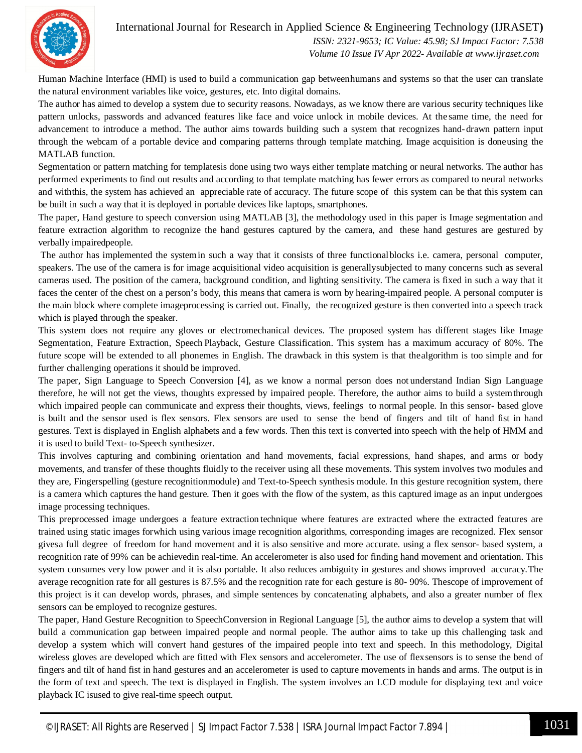International Journal for Research in Applied Science & Engineering Technology (IJRASET**)**



 *ISSN: 2321-9653; IC Value: 45.98; SJ Impact Factor: 7.538 Volume 10 Issue IV Apr 2022- Available at www.ijraset.com*

Human Machine Interface (HMI) is used to build a communication gap betweenhumans and systems so that the user can translate the natural environment variables like voice, gestures, etc. Into digital domains.

The author has aimed to develop a system due to security reasons. Nowadays, as we know there are various security techniques like pattern unlocks, passwords and advanced features like face and voice unlock in mobile devices. At the same time, the need for advancement to introduce a method. The author aims towards building such a system that recognizes hand-drawn pattern input through the webcam of a portable device and comparing patterns through template matching. Image acquisition is doneusing the MATLAB function.

Segmentation or pattern matching for templatesis done using two ways either template matching or neural networks. The author has performed experiments to find out results and according to that template matching has fewer errors as compared to neural networks and withthis, the system has achieved an appreciable rate of accuracy. The future scope of this system can be that this system can be built in such a way that it is deployed in portable devices like laptops, smartphones.

The paper, Hand gesture to speech conversion using MATLAB [3], the methodology used in this paper is Image segmentation and feature extraction algorithm to recognize the hand gestures captured by the camera, and these hand gestures are gestured by verbally impairedpeople.

The author has implemented the systemin such a way that it consists of three functionalblocks i.e. camera, personal computer, speakers. The use of the camera is for image acquisitional video acquisition is generallysubjected to many concerns such as several cameras used. The position of the camera, background condition, and lighting sensitivity. The camera is fixed in such a way that it faces the center of the chest on a person's body, this means that camera is worn by hearing-impaired people. A personal computer is the main block where complete imageprocessing is carried out. Finally, the recognized gesture is then converted into a speech track which is played through the speaker.

This system does not require any gloves or electromechanical devices. The proposed system has different stages like Image Segmentation, Feature Extraction, Speech Playback, Gesture Classification. This system has a maximum accuracy of 80%. The future scope will be extended to all phonemes in English. The drawback in this system is that thealgorithm is too simple and for further challenging operations it should be improved.

The paper, Sign Language to Speech Conversion [4], as we know a normal person does not understand Indian Sign Language therefore, he will not get the views, thoughts expressed by impaired people. Therefore, the author aims to build a systemthrough which impaired people can communicate and express their thoughts, views, feelings to normal people. In this sensor- based glove is built and the sensor used is flex sensors. Flex sensors are used to sense the bend of fingers and tilt of hand fist in hand gestures. Text is displayed in English alphabets and a few words. Then this text is converted into speech with the help of HMM and it is used to build Text- to-Speech synthesizer.

This involves capturing and combining orientation and hand movements, facial expressions, hand shapes, and arms or body movements, and transfer of these thoughts fluidly to the receiver using all these movements. This system involves two modules and they are, Fingerspelling (gesture recognitionmodule) and Text-to-Speech synthesis module. In this gesture recognition system, there is a camera which captures the hand gesture. Then it goes with the flow of the system, as this captured image as an input undergoes image processing techniques.

This preprocessed image undergoes a feature extraction technique where features are extracted where the extracted features are trained using static images forwhich using various image recognition algorithms, corresponding images are recognized. Flex sensor givesa full degree of freedom for hand movement and it is also sensitive and more accurate. using a flex sensor- based system, a recognition rate of 99% can be achievedin real-time. An accelerometer is also used for finding hand movement and orientation. This system consumes very low power and it is also portable. It also reduces ambiguity in gestures and shows improved accuracy.The average recognition rate for all gestures is 87.5% and the recognition rate for each gesture is 80- 90%. Thescope of improvement of this project is it can develop words, phrases, and simple sentences by concatenating alphabets, and also a greater number of flex sensors can be employed to recognize gestures.

The paper, Hand Gesture Recognition to SpeechConversion in Regional Language [5], the author aims to develop a system that will build a communication gap between impaired people and normal people. The author aims to take up this challenging task and develop a system which will convert hand gestures of the impaired people into text and speech. In this methodology, Digital wireless gloves are developed which are fitted with Flex sensors and accelerometer. The use of flexsensors is to sense the bend of fingers and tilt of hand fist in hand gestures and an accelerometer is used to capture movements in hands and arms. The output is in the form of text and speech. The text is displayed in English. The system involves an LCD module for displaying text and voice playback IC isused to give real-time speech output.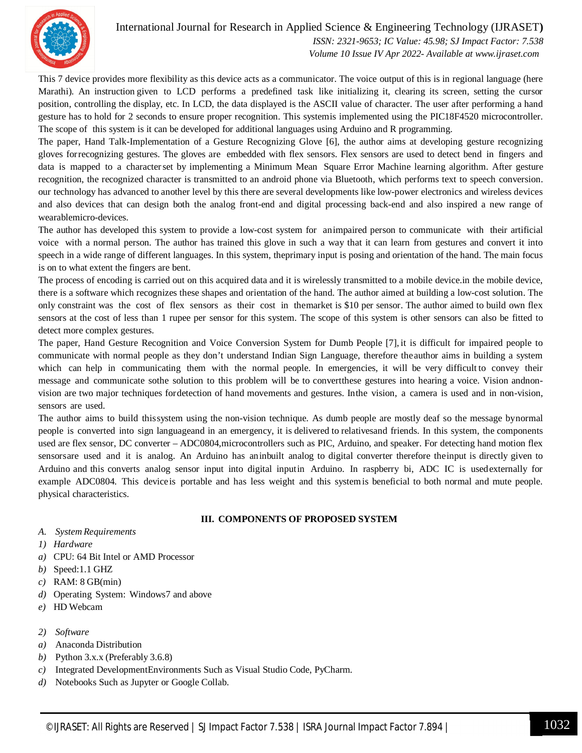

#### International Journal for Research in Applied Science & Engineering Technology (IJRASET**)**

 *ISSN: 2321-9653; IC Value: 45.98; SJ Impact Factor: 7.538 Volume 10 Issue IV Apr 2022- Available at www.ijraset.com*

This 7 device provides more flexibility as this device acts as a communicator. The voice output of this is in regional language (here Marathi). An instruction given to LCD performs a predefined task like initializing it, clearing its screen, setting the cursor position, controlling the display, etc. In LCD, the data displayed is the ASCII value of character. The user after performing a hand gesture has to hold for 2 seconds to ensure proper recognition. This systemis implemented using the PIC18F4520 microcontroller. The scope of this system is it can be developed for additional languages using Arduino and R programming.

The paper, Hand Talk-Implementation of a Gesture Recognizing Glove [6], the author aims at developing gesture recognizing gloves forrecognizing gestures. The gloves are embedded with flex sensors. Flex sensors are used to detect bend in fingers and data is mapped to a characterset by implementing a Minimum Mean Square Error Machine learning algorithm. After gesture recognition, the recognized character is transmitted to an android phone via Bluetooth, which performs text to speech conversion. our technology has advanced to another level by this there are several developments like low-power electronics and wireless devices and also devices that can design both the analog front-end and digital processing back-end and also inspired a new range of wearablemicro-devices.

The author has developed this system to provide a low-cost system for animpaired person to communicate with their artificial voice with a normal person. The author has trained this glove in such a way that it can learn from gestures and convert it into speech in a wide range of different languages. In this system, theprimary input is posing and orientation of the hand. The main focus is on to what extent the fingers are bent.

The process of encoding is carried out on this acquired data and it is wirelessly transmitted to a mobile device.in the mobile device, there is a software which recognizes these shapes and orientation of the hand. The author aimed at building a low-cost solution. The only constraint was the cost of flex sensors as their cost in themarket is \$10 per sensor. The author aimed to build own flex sensors at the cost of less than 1 rupee per sensor for this system. The scope of this system is other sensors can also be fitted to detect more complex gestures.

The paper, Hand Gesture Recognition and Voice Conversion System for Dumb People [7], it is difficult for impaired people to communicate with normal people as they don't understand Indian Sign Language, therefore theauthor aims in building a system which can help in communicating them with the normal people. In emergencies, it will be very difficult to convey their message and communicate sothe solution to this problem will be to convertthese gestures into hearing a voice. Vision andnonvision are two major techniques fordetection of hand movements and gestures. Inthe vision, a camera is used and in non-vision, sensors are used.

The author aims to build thissystem using the non-vision technique. As dumb people are mostly deaf so the message bynormal people is converted into sign languageand in an emergency, it is delivered to relativesand friends. In this system, the components used are flex sensor, DC converter – ADC0804,microcontrollers such as PIC, Arduino, and speaker. For detecting hand motion flex sensorsare used and it is analog. An Arduino has aninbuilt analog to digital converter therefore theinput is directly given to Arduino and this converts analog sensor input into digital inputin Arduino. In raspberry bi, ADC IC is usedexternally for example ADC0804. This deviceis portable and has less weight and this systemis beneficial to both normal and mute people. physical characteristics.

#### **III. COMPONENTS OF PROPOSED SYSTEM**

- *A. System Requirements*
- *1) Hardware*
- *a)* CPU: 64 Bit Intel or AMD Processor
- *b)* Speed:1.1 GHZ
- *c)* RAM: 8 GB(min)
- *d)* Operating System: Windows7 and above
- *e)* HD Webcam
- *2) Software*
- *a)* Anaconda Distribution
- *b)* Python 3.x.x (Preferably 3.6.8)
- *c)* Integrated DevelopmentEnvironments Such as Visual Studio Code, PyCharm.
- *d)* Notebooks Such as Jupyter or Google Collab.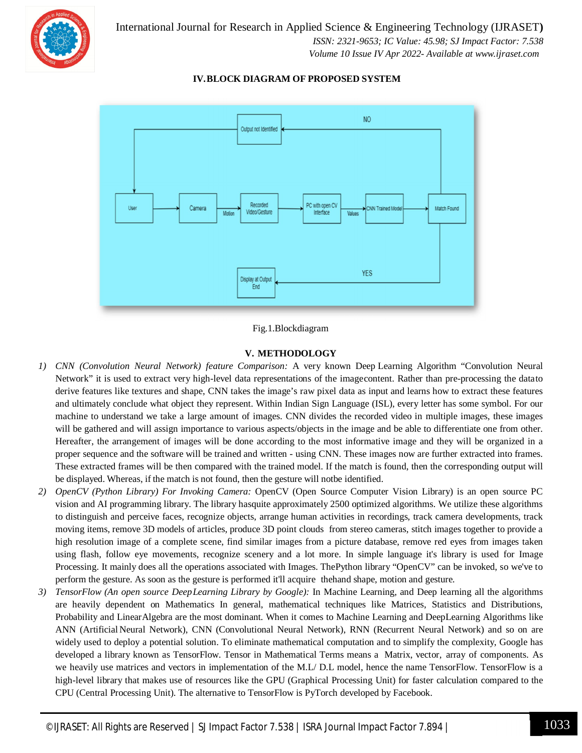

International Journal for Research in Applied Science & Engineering Technology (IJRASET**)**  *ISSN: 2321-9653; IC Value: 45.98; SJ Impact Factor: 7.538 Volume 10 Issue IV Apr 2022- Available at www.ijraset.com*

#### **IV.BLOCK DIAGRAM OF PROPOSED SYSTEM**



#### Fig.1.Blockdiagram

#### **V. METHODOLOGY**

- *1) CNN (Convolution Neural Network) feature Comparison:* A very known Deep Learning Algorithm "Convolution Neural Network" it is used to extract very high-level data representations of the imagecontent. Rather than pre-processing the datato derive features like textures and shape, CNN takes the image's raw pixel data as input and learns how to extract these features and ultimately conclude what object they represent. Within Indian Sign Language (ISL), every letter has some symbol. For our machine to understand we take a large amount of images. CNN divides the recorded video in multiple images, these images will be gathered and will assign importance to various aspects/objects in the image and be able to differentiate one from other. Hereafter, the arrangement of images will be done according to the most informative image and they will be organized in a proper sequence and the software will be trained and written - using CNN. These images now are further extracted into frames. These extracted frames will be then compared with the trained model. If the match is found, then the corresponding output will be displayed. Whereas, if the match is not found, then the gesture will notbe identified.
- *2) OpenCV (Python Library) For Invoking Camera:* OpenCV (Open Source Computer Vision Library) is an open source PC vision and AI programming library. The library hasquite approximately 2500 optimized algorithms. We utilize these algorithms to distinguish and perceive faces, recognize objects, arrange human activities in recordings, track camera developments, track moving items, remove 3D models of articles, produce 3D point clouds from stereo cameras, stitch images together to provide a high resolution image of a complete scene, find similar images from a picture database, remove red eyes from images taken using flash, follow eye movements, recognize scenery and a lot more. In simple language it's library is used for Image Processing. It mainly does all the operations associated with Images. ThePython library "OpenCV" can be invoked, so we've to perform the gesture. As soon as the gesture is performed it'll acquire thehand shape, motion and gesture.
- *3) TensorFlow (An open source DeepLearning Library by Google):* In Machine Learning, and Deep learning all the algorithms are heavily dependent on Mathematics In general, mathematical techniques like Matrices, Statistics and Distributions, Probability and LinearAlgebra are the most dominant. When it comes to Machine Learning and DeepLearning Algorithms like ANN (Artificial Neural Network), CNN (Convolutional Neural Network), RNN (Recurrent Neural Network) and so on are widely used to deploy a potential solution. To eliminate mathematical computation and to simplify the complexity, Google has developed a library known as TensorFlow. Tensor in Mathematical Terms means a Matrix, vector, array of components. As we heavily use matrices and vectors in implementation of the M.L/ D.L model, hence the name TensorFlow. TensorFlow is a high-level library that makes use of resources like the GPU (Graphical Processing Unit) for faster calculation compared to the CPU (Central Processing Unit). The alternative to TensorFlow is PyTorch developed by Facebook.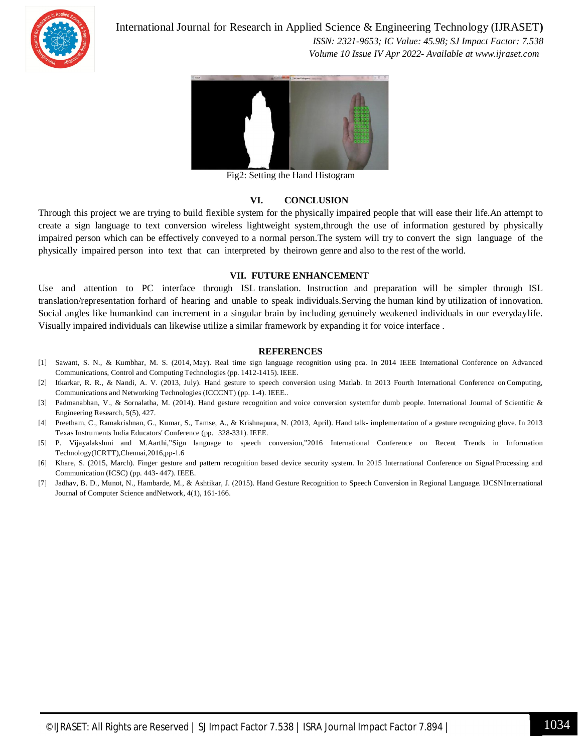

International Journal for Research in Applied Science & Engineering Technology (IJRASET**)**

 *ISSN: 2321-9653; IC Value: 45.98; SJ Impact Factor: 7.538 Volume 10 Issue IV Apr 2022- Available at www.ijraset.com*



Fig2: Setting the Hand Histogram

#### **VI. CONCLUSION**

Through this project we are trying to build flexible system for the physically impaired people that will ease their life.An attempt to create a sign language to text conversion wireless lightweight system,through the use of information gestured by physically impaired person which can be effectively conveyed to a normal person.The system will try to convert the sign language of the physically impaired person into text that can interpreted by theirown genre and also to the rest of the world.

#### **VII. FUTURE ENHANCEMENT**

Use and attention to PC interface through ISL translation. Instruction and preparation will be simpler through ISL translation/representation forhard of hearing and unable to speak individuals.Serving the human kind by utilization of innovation. Social angles like humankind can increment in a singular brain by including genuinely weakened individuals in our everydaylife. Visually impaired individuals can likewise utilize a similar framework by expanding it for voice interface .

#### **REFERENCES**

- [1] Sawant, S. N., & Kumbhar, M. S. (2014, May). Real time sign language recognition using pca. In 2014 IEEE International Conference on Advanced Communications, Control and Computing Technologies (pp. 1412-1415). IEEE.
- [2] Itkarkar, R. R., & Nandi, A. V. (2013, July). Hand gesture to speech conversion using Matlab. In 2013 Fourth International Conference on Computing, Communications and Networking Technologies (ICCCNT) (pp. 1-4). IEEE..
- [3] Padmanabhan, V., & Sornalatha, M. (2014). Hand gesture recognition and voice conversion systemfor dumb people. International Journal of Scientific & Engineering Research, 5(5), 427.
- [4] Preetham, C., Ramakrishnan, G., Kumar, S., Tamse, A., & Krishnapura, N. (2013, April). Hand talk- implementation of a gesture recognizing glove. In 2013 Texas Instruments India Educators' Conference (pp. 328-331). IEEE.
- [5] P. Vijayalakshmi and M.Aarthi,"Sign language to speech conversion,"2016 International Conference on Recent Trends in Information Technology(ICRTT),Chennai,2016,pp-1.6
- [6] Khare, S. (2015, March). Finger gesture and pattern recognition based device security system. In 2015 International Conference on Signal Processing and Communication (ICSC) (pp. 443- 447). IEEE.
- [7] Jadhav, B. D., Munot, N., Hambarde, M., & Ashtikar, J. (2015). Hand Gesture Recognition to Speech Conversion in Regional Language. IJCSNInternational Journal of Computer Science andNetwork, 4(1), 161-166.